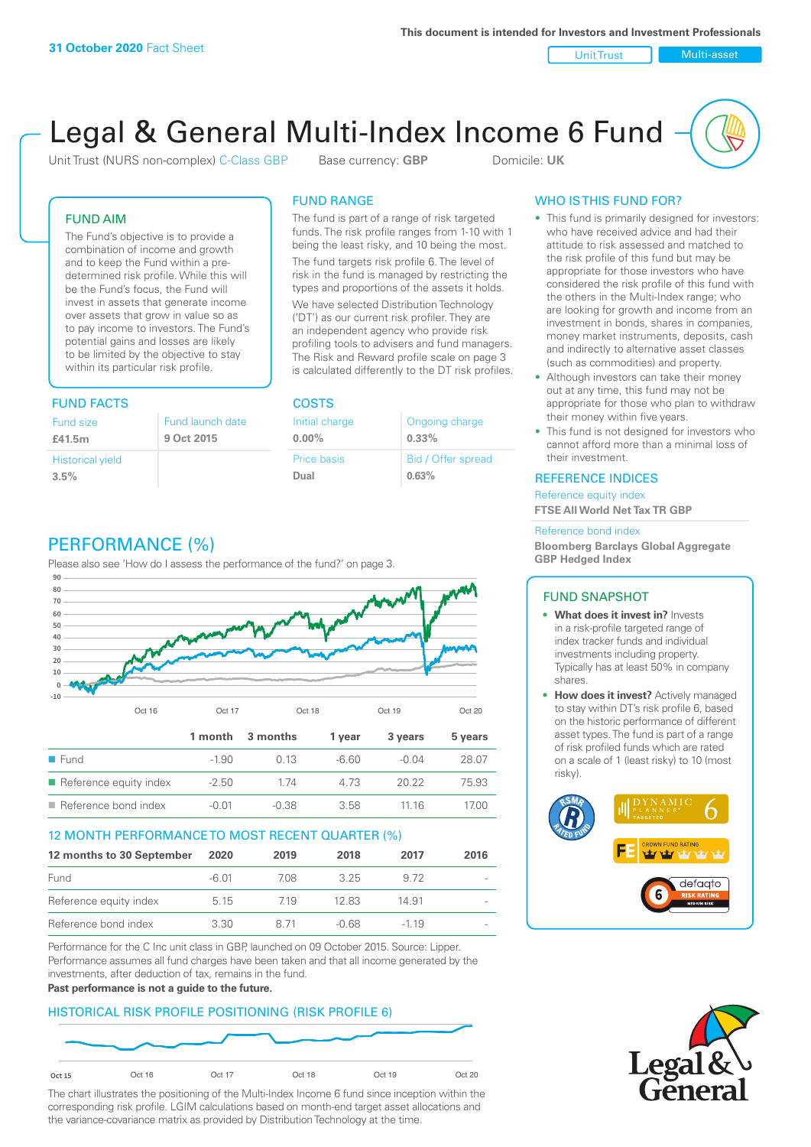Unit Trust Nulti-asset

# Legal & General Multi-Index Income 6 Fund

Unit Trust (NURS non-complex) C-Class GBP Base currency: **GBP** Domicile: UK

### FUND AIM

The Fund's objective is to provide a combination of income and growth and to keep the Fund within a predetermined risk profile. While this will be the Fund's focus, the Fund will invest in assets that generate income over assets that grow in value so as to pay income to investors. The Fund's potential gains and losses are likely to be limited by the objective to stay within its particular risk profile.

### FUND FACTS COSTS

| Fund size               | Fund launch date |
|-------------------------|------------------|
| £41.5m                  | 9 Oct 2015       |
| <b>Historical yield</b> |                  |
| 3.5%                    |                  |

### FUND RANGE

The fund is part of a range of risk targeted funds. The risk profile ranges from 1-10 with 1 being the least risky, and 10 being the most.

The fund targets risk profile 6. The level of risk in the fund is managed by restricting the types and proportions of the assets it holds. We have selected Distribution Technology ('DT') as our current risk profiler. They are an independent agency who provide risk profiling tools to advisers and fund managers. The Risk and Reward profile scale on page 3 is calculated differently to the DT risk profiles.

| Initial charge | Ongoing charge     |
|----------------|--------------------|
| $0.00\%$       | $0.33\%$           |
| Price basis    | Bid / Offer spread |
| Dual           | 0.63%              |

### WHO IS THIS FUND FOR?

- This fund is primarily designed for investors: who have received advice and had their attitude to risk assessed and matched to the risk profile of this fund but may be appropriate for those investors who have considered the risk profile of this fund with the others in the Multi-Index range; who are looking for growth and income from an investment in bonds, shares in companies, money market instruments, deposits, cash and indirectly to alternative asset classes (such as commodities) and property.
- Although investors can take their money out at any time, this fund may not be appropriate for those who plan to withdraw their money within five years.
- This fund is not designed for investors who cannot afford more than a minimal loss of their investment.

### REFERENCE INDICES

Reference equity index **FTSE All World Net Tax TR GBP**

#### Reference bond index

**Bloomberg Barclays Global Aggregate GBP Hedged Index**

### FUND SNAPSHOT

- **• What does it invest in?** Invests in a risk-profile targeted range of index tracker funds and individual investments including property. Typically has at least 50% in company shares.
- **• How does it invest?** Actively managed to stay within DT's risk profile 6, based on the historic performance of different asset types. The fund is part of a range of risk profiled funds which are rated on a scale of 1 (least risky) to 10 (most risky).





### PERFORMANCE (%)

Please also see 'How do I assess the performance of the fund?' on page 3.



### 12 MONTH PERFORMANCE TO MOST RECENT QUARTER (%)

| 12 months to 30 September | 2020  | 2019 | 2018  | 2017   | 2016                     |
|---------------------------|-------|------|-------|--------|--------------------------|
| Fund                      | -6.01 | 7.08 | 325   | 9.72   | $\sim$                   |
| Reference equity index    | 5.15  | 719  | 12.83 | 14.91  | $\overline{\phantom{a}}$ |
| Reference bond index      | 3.30  | 8 71 | -0.68 | $-119$ | $\sim$                   |

Performance for the C Inc unit class in GBP, launched on 09 October 2015. Source: Lipper. Performance assumes all fund charges have been taken and that all income generated by the investments, after deduction of tax, remains in the fund.

#### **Past performance is not a guide to the future.**

### HISTORICAL RISK PROFILE POSITIONING (RISK PROFILE 6)



The chart illustrates the positioning of the Multi-Index Income 6 fund since inception within the corresponding risk profile. LGIM calculations based on month-end target asset allocations and the variance-covariance matrix as provided by Distribution Technology at the time.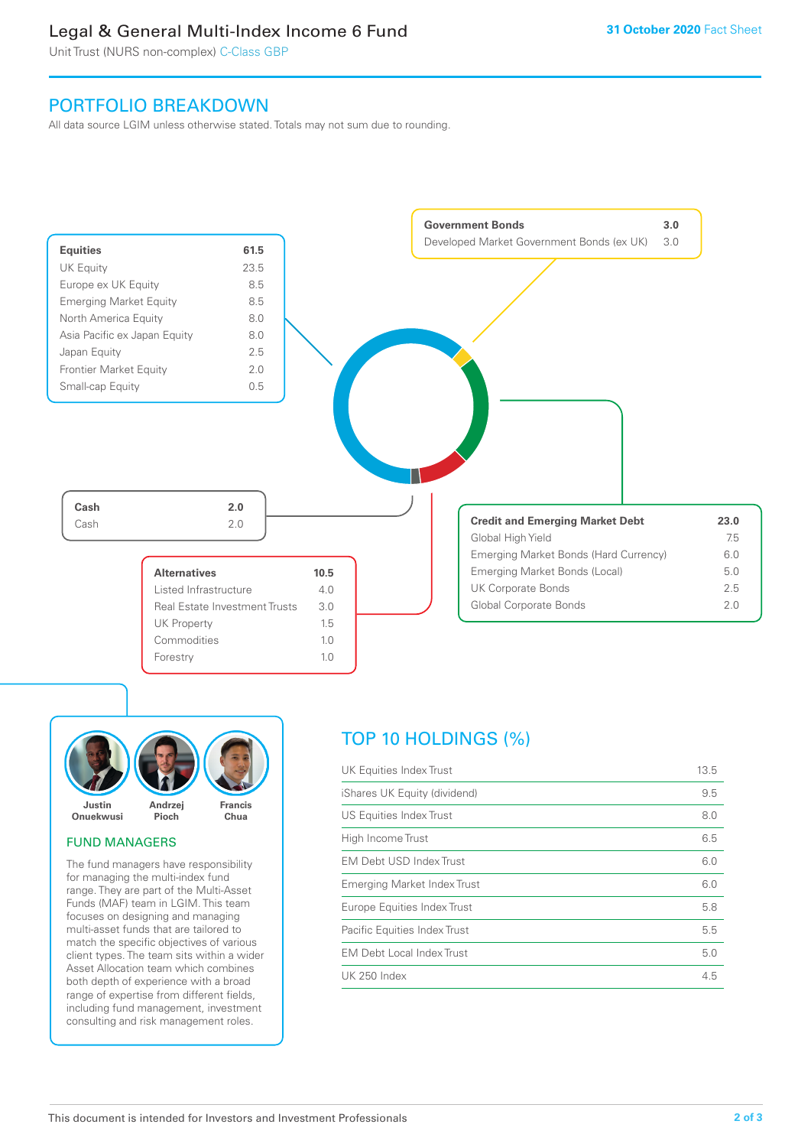### Legal & General Multi-Index Income 6 Fund

Unit Trust (NURS non-complex) C-Class GBP

### PORTFOLIO BREAKDOWN

All data source LGIM unless otherwise stated. Totals may not sum due to rounding.





### FUND MANAGERS

The fund managers have responsibility for managing the multi-index fund range. They are part of the Multi-Asset Funds (MAF) team in LGIM. This team focuses on designing and managing multi-asset funds that are tailored to match the specific objectives of various client types. The team sits within a wider Asset Allocation team which combines both depth of experience with a broad range of expertise from different fields, including fund management, investment consulting and risk management roles.

## TOP 10 HOLDINGS (%)

| UK Equities Index Trust          | 13.5 |
|----------------------------------|------|
| iShares UK Equity (dividend)     | 9.5  |
| US Equities Index Trust          | 8.0  |
| High Income Trust                | 6.5  |
| EM Debt USD Index Trust          | 6.0  |
| Emerging Market Index Trust      | 6.0  |
| Europe Equities Index Trust      | 5.8  |
| Pacific Equities Index Trust     | 5.5  |
| <b>EM Debt Local Index Trust</b> | 5.0  |
| <b>UK 250 Index</b>              | 4.5  |
|                                  |      |